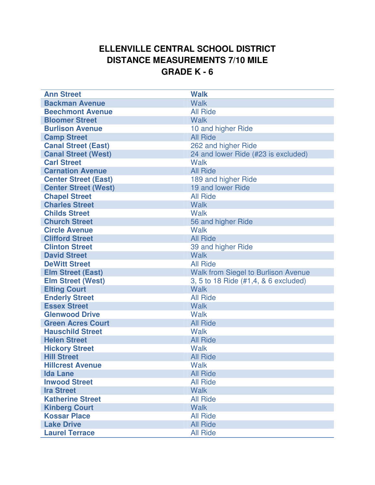## **ELLENVILLE CENTRAL SCHOOL DISTRICT DISTANCE MEASUREMENTS 7/10 MILE GRADE K - 6**

| <b>Ann Street</b>           | <b>Walk</b>                                |
|-----------------------------|--------------------------------------------|
| <b>Backman Avenue</b>       | <b>Walk</b>                                |
| <b>Beechmont Avenue</b>     | <b>All Ride</b>                            |
| <b>Bloomer Street</b>       | <b>Walk</b>                                |
| <b>Burlison Avenue</b>      | 10 and higher Ride                         |
| <b>Camp Street</b>          | <b>All Ride</b>                            |
| <b>Canal Street (East)</b>  | 262 and higher Ride                        |
| <b>Canal Street (West)</b>  | 24 and lower Ride (#23 is excluded)        |
| <b>Carl Street</b>          | <b>Walk</b>                                |
| <b>Carnation Avenue</b>     | <b>All Ride</b>                            |
| <b>Center Street (East)</b> | 189 and higher Ride                        |
| <b>Center Street (West)</b> | 19 and lower Ride                          |
| <b>Chapel Street</b>        | <b>All Ride</b>                            |
| <b>Charles Street</b>       | <b>Walk</b>                                |
| <b>Childs Street</b>        | <b>Walk</b>                                |
| <b>Church Street</b>        | 56 and higher Ride                         |
| <b>Circle Avenue</b>        | <b>Walk</b>                                |
| <b>Clifford Street</b>      | <b>All Ride</b>                            |
| <b>Clinton Street</b>       | 39 and higher Ride                         |
| <b>David Street</b>         | <b>Walk</b>                                |
| <b>DeWitt Street</b>        | <b>All Ride</b>                            |
| <b>Elm Street (East)</b>    | <b>Walk from Siegel to Burlison Avenue</b> |
| <b>Elm Street (West)</b>    | 3, 5 to 18 Ride (#1,4, & 6 excluded)       |
| <b>Elting Court</b>         | <b>Walk</b>                                |
| <b>Enderly Street</b>       | <b>All Ride</b>                            |
| <b>Essex Street</b>         | <b>Walk</b>                                |
| <b>Glenwood Drive</b>       | <b>Walk</b>                                |
| <b>Green Acres Court</b>    | <b>All Ride</b>                            |
| <b>Hauschild Street</b>     | Walk                                       |
| <b>Helen Street</b>         | <b>All Ride</b>                            |
| <b>Hickory Street</b>       | <b>Walk</b>                                |
| <b>Hill Street</b>          | <b>All Ride</b>                            |
| <b>Hillcrest Avenue</b>     | <b>Walk</b>                                |
| <b>Ida Lane</b>             | <b>All Ride</b>                            |
| <b>Inwood Street</b>        | <b>All Ride</b>                            |
| <b>Ira Street</b>           | <b>Walk</b>                                |
| <b>Katherine Street</b>     | <b>All Ride</b>                            |
| <b>Kinberg Court</b>        | <b>Walk</b>                                |
| <b>Kossar Place</b>         | <b>All Ride</b>                            |
| <b>Lake Drive</b>           | <b>All Ride</b>                            |
| <b>Laurel Terrace</b>       | <b>All Ride</b>                            |